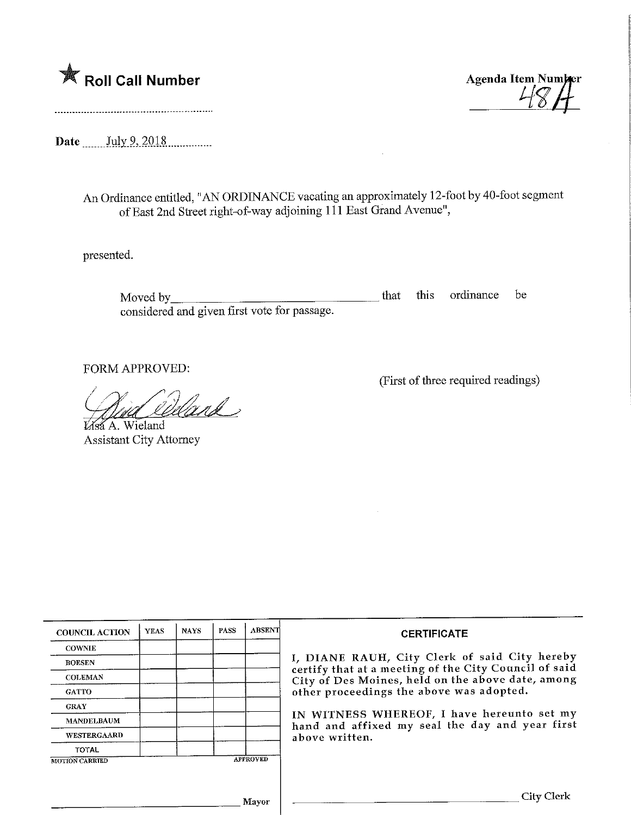

(First of three required readings)

Date \_\_\_\_\_\_ July 9, 2018

An Ordinance entitled, "AN ORDINANCE vacating an approximately 12-foot by 40-foot segment of East 2nd Street right-of-way adjoining 111 East Grand Avenue",

presented.

Moved by\_ considered and given first vote for passage. that this ordinance be

FORM APPROVED:

.<br>Udank

 $6A.$  Wieland Assistant City Attorney

| <b>COUNCIL ACTION</b> | <b>YEAS</b> | <b>NAYS</b> | <b>PASS</b> | <b>ABSENT</b>   | <b>CERTIFICATE</b>                                                                                                                                                                                      |  |  |
|-----------------------|-------------|-------------|-------------|-----------------|---------------------------------------------------------------------------------------------------------------------------------------------------------------------------------------------------------|--|--|
| <b>COWNIE</b>         |             |             |             |                 |                                                                                                                                                                                                         |  |  |
| <b>BOESEN</b>         |             |             |             |                 | I, DIANE RAUH, City Clerk of said City hereby<br>certify that at a meeting of the City Council of said<br>City of Des Moines, held on the above date, among<br>other proceedings the above was adopted. |  |  |
| <b>COLEMAN</b>        |             |             |             |                 |                                                                                                                                                                                                         |  |  |
| <b>GATTO</b>          |             |             |             |                 |                                                                                                                                                                                                         |  |  |
| <b>GRAY</b>           |             |             |             |                 |                                                                                                                                                                                                         |  |  |
| <b>MANDELBAUM</b>     |             |             |             |                 | IN WITNESS WHEREOF, I have hereunto set my<br>hand and affixed my seal the day and year first<br>above written.                                                                                         |  |  |
| <b>WESTERGAARD</b>    |             |             |             |                 |                                                                                                                                                                                                         |  |  |
| <b>TOTAL</b>          |             |             |             |                 |                                                                                                                                                                                                         |  |  |
| <b>MOTION CARRIED</b> |             |             |             | <b>APPROVED</b> |                                                                                                                                                                                                         |  |  |
|                       |             |             |             |                 |                                                                                                                                                                                                         |  |  |
|                       |             |             |             |                 | City Clerk                                                                                                                                                                                              |  |  |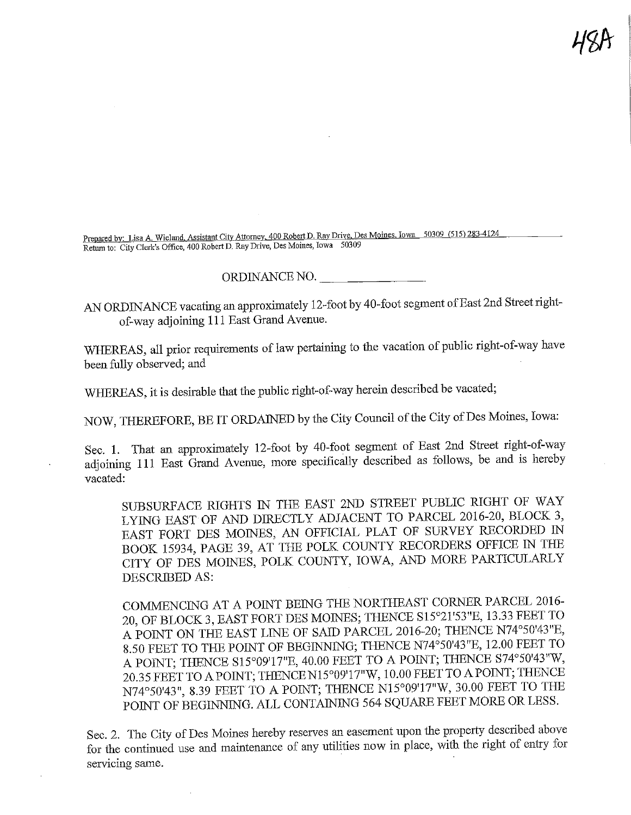Prepared by: Lisa A, Wieland, Assistant City Attorney, 400 Robert D. Ray Drive, Des Moines, Iowa 50309 (515) 283-4124 Return to: City Clerk's Office, 400 Robert D, Ray Drive, Des Moines, Iowa 50309

## ORDINANCE NO.

AN ORDINANCE vacating an approximately 12-foot by 40-foot segment of East 2nd Street rightof-way adjoining 111 East Grand Avenue.

WHEREAS, all prior requirements of law pertaining to the vacation of public right-of-way have been fully observed; and

WHEREAS, it is desirable that the public right-of-way herein described be vacated;

NOW, THEREFORE, BE IT ORDAINED by the City Council of the City of Des Moines, Iowa:

Sec. 1. That an approximately 12-foot by 40-foot segment of East 2nd Steeet right-of-way adjoining 111 East Grand Avenue, more specifically described as follows, be and is hereby vacated:

SUBSURFACE RIGHTS IN THE EAST 2ND STREET PUBLIC RIGHT OF WAY LYING EAST OF AND DIRECTLY ADJACENT TO PARCEL 2016-20, BLOCK 3, EAST FORT DES MOINES, AN OFFICIAL PLAT OF SURVEY KECORDED IN BOOK 15934, PAGE 39, AT THE POLK COUNTY RECORDERS OFFICE IN THE CITY OF DES MOINES, POLK COUNTY, IOWA, AND MORE PARTICULARLY DESCRIBED AS:

COMMENCDMG AT A POINT BEING THE NORTHEAST CORNER PARCEL 2016- 20, OF BLOCK 3, EAST FORT DES MOINES; THENCE S15°21'53"B, 13.33 FEET TO A POINT ON THE EAST LINE OF SAID PARCEL 2016-20; THENCE W4°50'43"B, 8.50 FEET TO THE POINT OF BEGINNING; THENCE N74°50'43"E, 12.00 FEET TO A POINT; THENCE S15°09117'IE, 40.00 FEET TO A POINT; THENCE S74°50'43"W, 20.35 FEET TO A POINT; THENCEN15°09'17"W, 10.00 FEET TO APOINT; THENCE N74°50'43", 8.39 FEET TO A POINT; THENCE N15°09'17"W, 30.00 FEET TO THE POINT OF BEGINNING. ALL CONTAINING 564 SQUARE FEET MORE OR LESS.

Sec. 2. The City of Des Moines hereby reserves an easement upon the property described above for the continued use and maintenance of any utilities now in place, with the right of entry for servicing same.